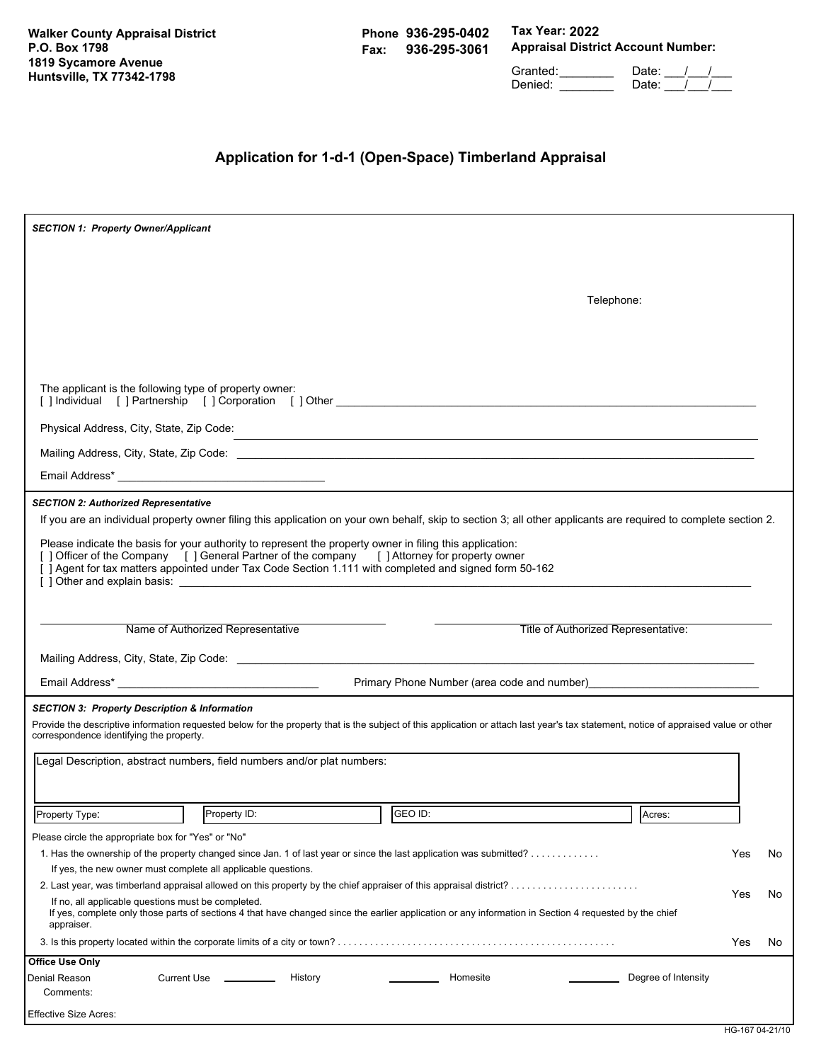**Walker County Appraisal District P.O. Box 1798 1819 Sycamore Avenue Huntsville, TX 77342-1798**

**Phone 936-295-0402 Fax: 936-295-3061** **Tax Year: 2022 Appraisal District Account Number:**

Granted: \_\_\_\_\_\_\_\_ Date: \_\_\_/\_\_\_/\_\_\_ Denied: \_\_\_\_\_\_\_\_\_\_ Date: \_\_\_/ \_\_/

# **Application for 1-d-1 (Open-Space) Timberland Appraisal**

| <b>SECTION 1: Property Owner/Applicant</b>                                                                                                                                                                                                                                                                          |     |     |
|---------------------------------------------------------------------------------------------------------------------------------------------------------------------------------------------------------------------------------------------------------------------------------------------------------------------|-----|-----|
|                                                                                                                                                                                                                                                                                                                     |     |     |
|                                                                                                                                                                                                                                                                                                                     |     |     |
| Telephone:                                                                                                                                                                                                                                                                                                          |     |     |
|                                                                                                                                                                                                                                                                                                                     |     |     |
|                                                                                                                                                                                                                                                                                                                     |     |     |
|                                                                                                                                                                                                                                                                                                                     |     |     |
| The applicant is the following type of property owner:<br>[] Individual [] Partnership [] Corporation [] Other                                                                                                                                                                                                      |     |     |
| Physical Address, City, State, Zip Code:<br>The Contract of Contract of Contract of Contract of Contract of Contract of Contract of Contract of Contract of Contract of Contract of Contract of Contract of Contract of Contract                                                                                    |     |     |
|                                                                                                                                                                                                                                                                                                                     |     |     |
|                                                                                                                                                                                                                                                                                                                     |     |     |
|                                                                                                                                                                                                                                                                                                                     |     |     |
| <b>SECTION 2: Authorized Representative</b><br>If you are an individual property owner filing this application on your own behalf, skip to section 3; all other applicants are required to complete section 2.                                                                                                      |     |     |
|                                                                                                                                                                                                                                                                                                                     |     |     |
| Please indicate the basis for your authority to represent the property owner in filing this application:<br>[ ] Officer of the Company [ ] General Partner of the company [ ] Attorney for property owner<br>[ ] Agent for tax matters appointed under Tax Code Section 1.111 with completed and signed form 50-162 |     |     |
|                                                                                                                                                                                                                                                                                                                     |     |     |
|                                                                                                                                                                                                                                                                                                                     |     |     |
| Name of Authorized Representative<br>Title of Authorized Representative:                                                                                                                                                                                                                                            |     |     |
|                                                                                                                                                                                                                                                                                                                     |     |     |
| Primary Phone Number (area code and number)<br>The manufactured and the manufactured and the manufactured and the manufactured and the manufactured and the manufactured and the manufactured and the manufactured and the manuf                                                                                    |     |     |
| <b>SECTION 3: Property Description &amp; Information</b>                                                                                                                                                                                                                                                            |     |     |
| Provide the descriptive information requested below for the property that is the subject of this application or attach last year's tax statement, notice of appraised value or other                                                                                                                                |     |     |
| correspondence identifying the property.                                                                                                                                                                                                                                                                            |     |     |
| Legal Description, abstract numbers, field numbers and/or plat numbers:                                                                                                                                                                                                                                             |     |     |
|                                                                                                                                                                                                                                                                                                                     |     |     |
| $\frac{1}{\sqrt{1}}$ GEO ID:<br>Property ID:<br>Property Type:<br>Acres:                                                                                                                                                                                                                                            |     |     |
| Please circle the appropriate box for "Yes" or "No"                                                                                                                                                                                                                                                                 |     |     |
| 1. Has the ownership of the property changed since Jan. 1 of last year or since the last application was submitted?                                                                                                                                                                                                 | Yes | No. |
| If yes, the new owner must complete all applicable questions.                                                                                                                                                                                                                                                       |     |     |
|                                                                                                                                                                                                                                                                                                                     | Yes | No. |
| If no, all applicable questions must be completed.<br>If yes, complete only those parts of sections 4 that have changed since the earlier application or any information in Section 4 requested by the chief<br>appraiser.                                                                                          |     |     |
|                                                                                                                                                                                                                                                                                                                     | Yes | No  |
| <b>Office Use Only</b>                                                                                                                                                                                                                                                                                              |     |     |
| Degree of Intensity<br><b>Current Use</b><br>History<br>Homesite<br>Denial Reason<br>Comments:                                                                                                                                                                                                                      |     |     |
| <b>Effective Size Acres:</b>                                                                                                                                                                                                                                                                                        |     |     |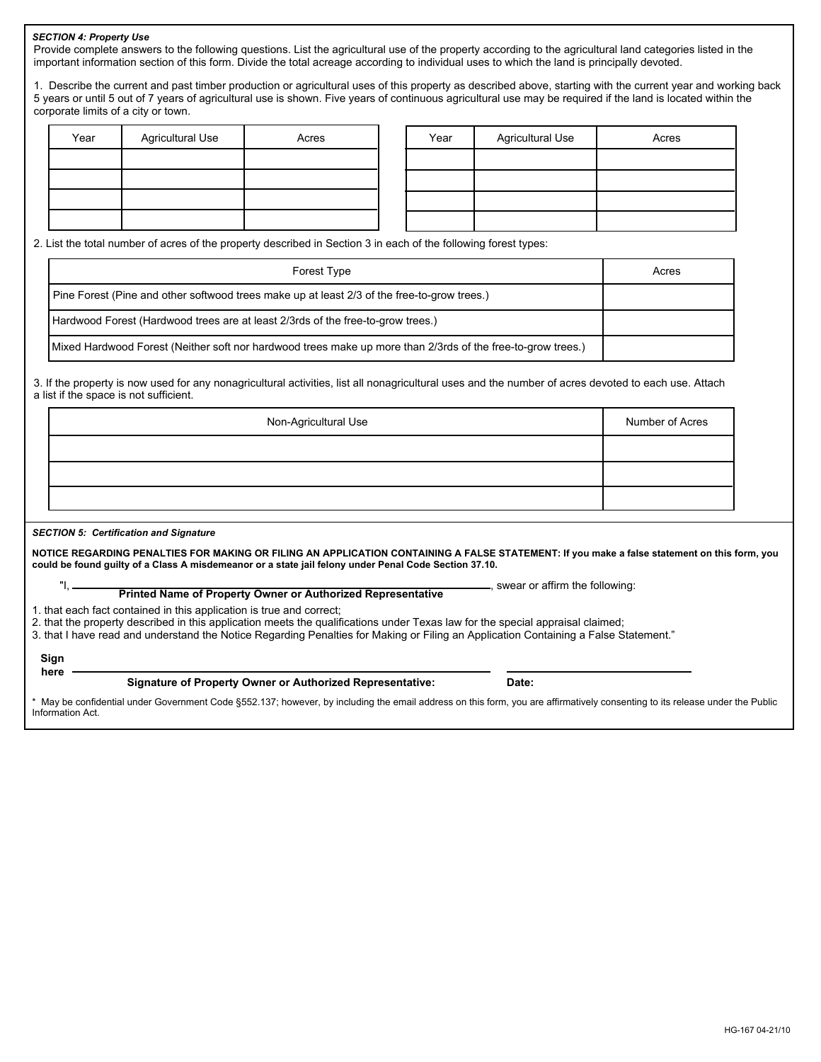# *SECTION 4: Property Use*

Provide complete answers to the following questions. List the agricultural use of the property according to the agricultural land categories listed in the important information section of this form. Divide the total acreage according to individual uses to which the land is principally devoted.

1. Describe the current and past timber production or agricultural uses of this property as described above, starting with the current year and working back 5 years or until 5 out of 7 years of agricultural use is shown. Five years of continuous agricultural use may be required if the land is located within the corporate limits of a city or town.

| Year | <b>Agricultural Use</b> | Acres | Year | <b>Agricultural Use</b> | Acres |
|------|-------------------------|-------|------|-------------------------|-------|
|      |                         |       |      |                         |       |
|      |                         |       |      |                         |       |
|      |                         |       |      |                         |       |
|      |                         |       |      |                         |       |

2. List the total number of acres of the property described in Section 3 in each of the following forest types:

| Forest Type                                                                                                  | Acres |
|--------------------------------------------------------------------------------------------------------------|-------|
| Pine Forest (Pine and other softwood trees make up at least 2/3 of the free-to-grow trees.)                  |       |
| Hardwood Forest (Hardwood trees are at least 2/3rds of the free-to-grow trees.)                              |       |
| (Mixed Hardwood Forest (Neither soft nor hardwood trees make up more than 2/3rds of the free-to-grow trees.) |       |

3. If the property is now used for any nonagricultural activities, list all nonagricultural uses and the number of acres devoted to each use. Attach a list if the space is not sufficient.

| Non-Agricultural Use | Number of Acres |
|----------------------|-----------------|
|                      |                 |
|                      |                 |
|                      |                 |

#### *SECTION 5: Certification and Signature*

**NOTICE REGARDING PENALTIES FOR MAKING OR FILING AN APPLICATION CONTAINING A FALSE STATEMENT: If you make a false statement on this form, you could be found guilty of a Class A misdemeanor or a state jail felony under Penal Code Section 37.10.**

, swear or affirm the following: **Printed Name of Property Owner or Authorized Representative** "I,

1. that each fact contained in this application is true and correct;

2. that the property described in this application meets the qualifications under Texas law for the special appraisal claimed;

3. that I have read and understand the Notice Regarding Penalties for Making or Filing an Application Containing a False Statement."

### **Sign here**

# **Signature of Property Owner or Authorized Representative: Date:**

May be confidential under Government Code §552.137; however, by including the email address on this form, you are affirmatively consenting to its release under the Public Information Act.